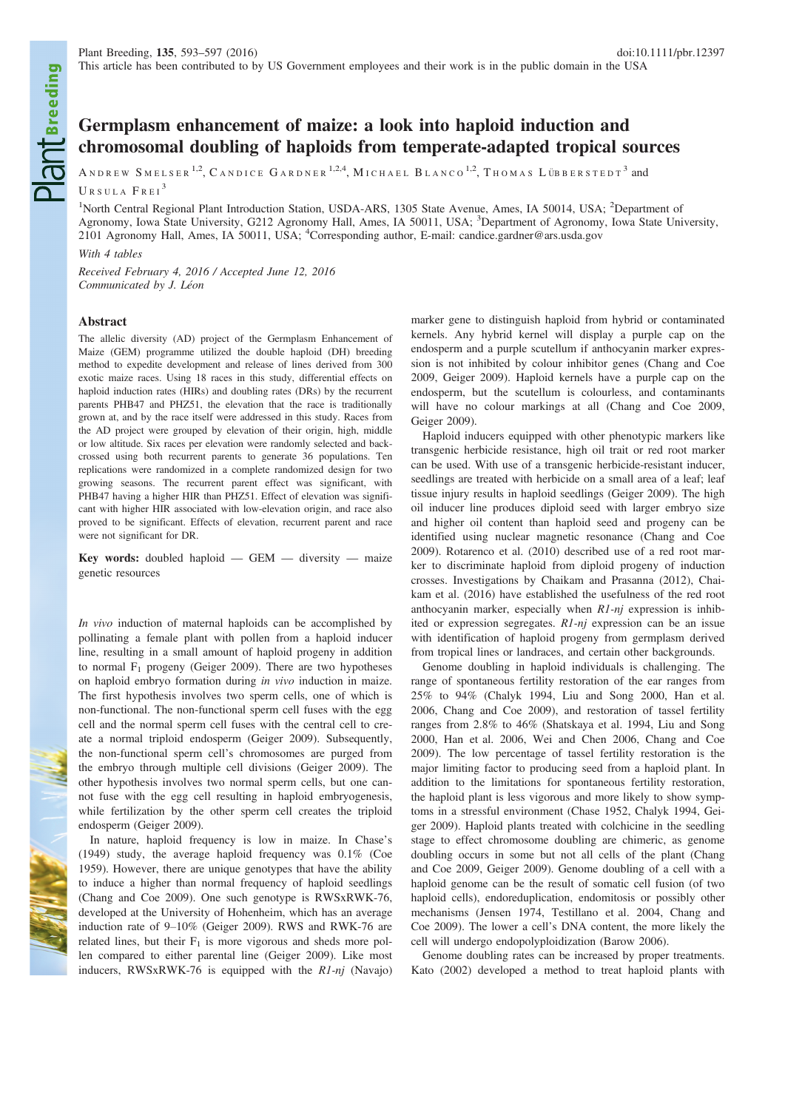# Germplasm enhancement of maize: a look into haploid induction and chromosomal doubling of haploids from temperate-adapted tropical sources

ANDREW SMELSER<sup>1,2</sup>, CANDICE GARDNER<sup>1,2,4</sup>, MICHAEL BLANCO<sup>1,2</sup>, THOMAS LÜBBERSTEDT<sup>3</sup> and

URSULA FREI<sup>3</sup>

<sup>1</sup>North Central Regional Plant Introduction Station, USDA-ARS, 1305 State Avenue, Ames, IA 50014, USA; <sup>2</sup>Department of Agronomy, Iowa State University, G212 Agronomy Hall, Ames, IA 50011, USA; <sup>3</sup>Department of Agronomy, Iowa State University, 2101 Agronomy Hall, Ames, IA 50011, USA; <sup>4</sup>Corresponding author, E-mail: candice.gardner@ars.usda.gov

With 4 tables

Received February 4, 2016 / Accepted June 12, 2016 Communicated by J. Léon

## Abstract

The allelic diversity (AD) project of the Germplasm Enhancement of Maize (GEM) programme utilized the double haploid (DH) breeding method to expedite development and release of lines derived from 300 exotic maize races. Using 18 races in this study, differential effects on haploid induction rates (HIRs) and doubling rates (DRs) by the recurrent parents PHB47 and PHZ51, the elevation that the race is traditionally grown at, and by the race itself were addressed in this study. Races from the AD project were grouped by elevation of their origin, high, middle or low altitude. Six races per elevation were randomly selected and backcrossed using both recurrent parents to generate 36 populations. Ten replications were randomized in a complete randomized design for two growing seasons. The recurrent parent effect was significant, with PHB47 having a higher HIR than PHZ51. Effect of elevation was significant with higher HIR associated with low-elevation origin, and race also proved to be significant. Effects of elevation, recurrent parent and race were not significant for DR.

Key words: doubled haploid  $-$  GEM  $-$  diversity  $-$  maize genetic resources

In vivo induction of maternal haploids can be accomplished by pollinating a female plant with pollen from a haploid inducer line, resulting in a small amount of haploid progeny in addition to normal  $F_1$  progeny (Geiger 2009). There are two hypotheses on haploid embryo formation during in vivo induction in maize. The first hypothesis involves two sperm cells, one of which is non-functional. The non-functional sperm cell fuses with the egg cell and the normal sperm cell fuses with the central cell to create a normal triploid endosperm (Geiger 2009). Subsequently, the non-functional sperm cell's chromosomes are purged from the embryo through multiple cell divisions (Geiger 2009). The other hypothesis involves two normal sperm cells, but one cannot fuse with the egg cell resulting in haploid embryogenesis, while fertilization by the other sperm cell creates the triploid endosperm (Geiger 2009).

In nature, haploid frequency is low in maize. In Chase's (1949) study, the average haploid frequency was 0.1% (Coe 1959). However, there are unique genotypes that have the ability to induce a higher than normal frequency of haploid seedlings (Chang and Coe 2009). One such genotype is RWSxRWK-76, developed at the University of Hohenheim, which has an average induction rate of 9–10% (Geiger 2009). RWS and RWK-76 are related lines, but their  $F_1$  is more vigorous and sheds more pollen compared to either parental line (Geiger 2009). Like most inducers, RWSxRWK-76 is equipped with the R1-nj (Navajo) marker gene to distinguish haploid from hybrid or contaminated kernels. Any hybrid kernel will display a purple cap on the endosperm and a purple scutellum if anthocyanin marker expression is not inhibited by colour inhibitor genes (Chang and Coe 2009, Geiger 2009). Haploid kernels have a purple cap on the endosperm, but the scutellum is colourless, and contaminants will have no colour markings at all (Chang and Coe 2009, Geiger 2009).

Haploid inducers equipped with other phenotypic markers like transgenic herbicide resistance, high oil trait or red root marker can be used. With use of a transgenic herbicide-resistant inducer, seedlings are treated with herbicide on a small area of a leaf; leaf tissue injury results in haploid seedlings (Geiger 2009). The high oil inducer line produces diploid seed with larger embryo size and higher oil content than haploid seed and progeny can be identified using nuclear magnetic resonance (Chang and Coe 2009). Rotarenco et al. (2010) described use of a red root marker to discriminate haploid from diploid progeny of induction crosses. Investigations by Chaikam and Prasanna (2012), Chaikam et al. (2016) have established the usefulness of the red root anthocyanin marker, especially when  $R1$ -nj expression is inhibited or expression segregates. R1-nj expression can be an issue with identification of haploid progeny from germplasm derived from tropical lines or landraces, and certain other backgrounds.

Genome doubling in haploid individuals is challenging. The range of spontaneous fertility restoration of the ear ranges from 25% to 94% (Chalyk 1994, Liu and Song 2000, Han et al. 2006, Chang and Coe 2009), and restoration of tassel fertility ranges from 2.8% to 46% (Shatskaya et al. 1994, Liu and Song 2000, Han et al. 2006, Wei and Chen 2006, Chang and Coe 2009). The low percentage of tassel fertility restoration is the major limiting factor to producing seed from a haploid plant. In addition to the limitations for spontaneous fertility restoration, the haploid plant is less vigorous and more likely to show symptoms in a stressful environment (Chase 1952, Chalyk 1994, Geiger 2009). Haploid plants treated with colchicine in the seedling stage to effect chromosome doubling are chimeric, as genome doubling occurs in some but not all cells of the plant (Chang and Coe 2009, Geiger 2009). Genome doubling of a cell with a haploid genome can be the result of somatic cell fusion (of two haploid cells), endoreduplication, endomitosis or possibly other mechanisms (Jensen 1974, Testillano et al. 2004, Chang and Coe 2009). The lower a cell's DNA content, the more likely the cell will undergo endopolyploidization (Barow 2006).

Genome doubling rates can be increased by proper treatments. Kato (2002) developed a method to treat haploid plants with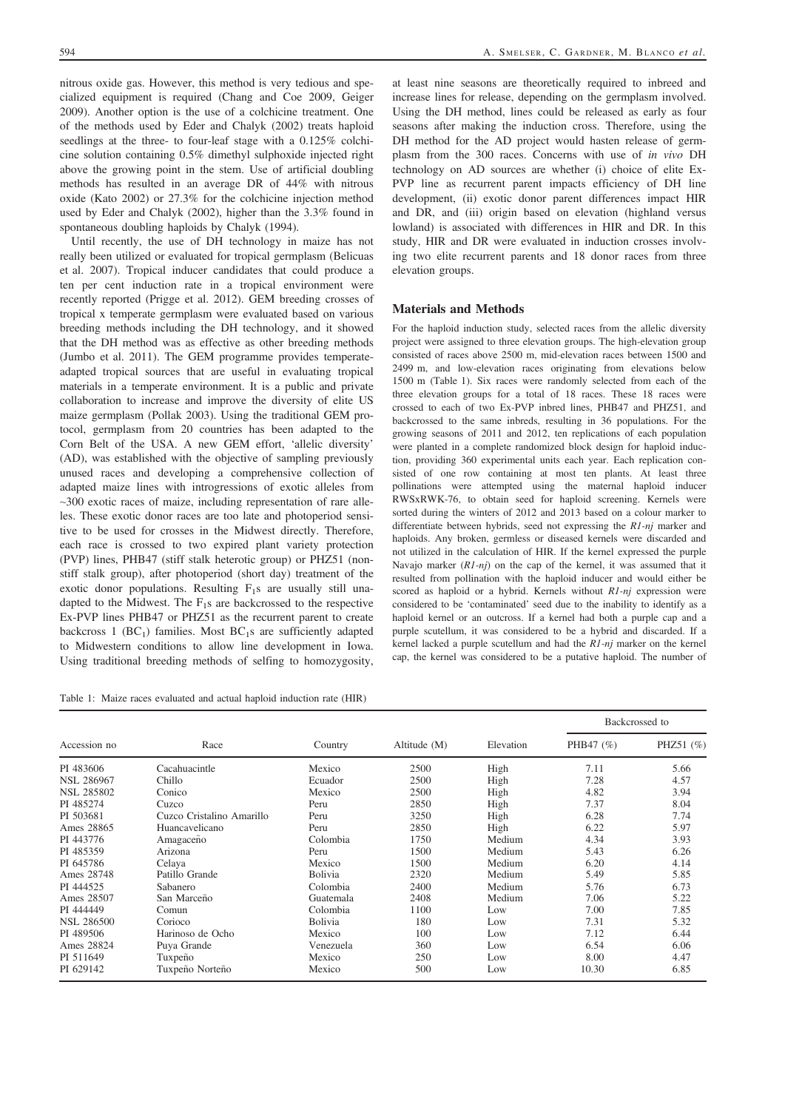nitrous oxide gas. However, this method is very tedious and specialized equipment is required (Chang and Coe 2009, Geiger 2009). Another option is the use of a colchicine treatment. One of the methods used by Eder and Chalyk (2002) treats haploid seedlings at the three- to four-leaf stage with a 0.125% colchicine solution containing 0.5% dimethyl sulphoxide injected right above the growing point in the stem. Use of artificial doubling methods has resulted in an average DR of 44% with nitrous oxide (Kato 2002) or 27.3% for the colchicine injection method used by Eder and Chalyk (2002), higher than the 3.3% found in spontaneous doubling haploids by Chalyk (1994).

Until recently, the use of DH technology in maize has not really been utilized or evaluated for tropical germplasm (Belicuas et al. 2007). Tropical inducer candidates that could produce a ten per cent induction rate in a tropical environment were recently reported (Prigge et al. 2012). GEM breeding crosses of tropical x temperate germplasm were evaluated based on various breeding methods including the DH technology, and it showed that the DH method was as effective as other breeding methods (Jumbo et al. 2011). The GEM programme provides temperateadapted tropical sources that are useful in evaluating tropical materials in a temperate environment. It is a public and private collaboration to increase and improve the diversity of elite US maize germplasm (Pollak 2003). Using the traditional GEM protocol, germplasm from 20 countries has been adapted to the Corn Belt of the USA. A new GEM effort, 'allelic diversity' (AD), was established with the objective of sampling previously unused races and developing a comprehensive collection of adapted maize lines with introgressions of exotic alleles from  $\sim$ 300 exotic races of maize, including representation of rare alleles. These exotic donor races are too late and photoperiod sensitive to be used for crosses in the Midwest directly. Therefore, each race is crossed to two expired plant variety protection (PVP) lines, PHB47 (stiff stalk heterotic group) or PHZ51 (nonstiff stalk group), after photoperiod (short day) treatment of the exotic donor populations. Resulting  $F_1$ s are usually still unadapted to the Midwest. The  $F_1s$  are backcrossed to the respective Ex-PVP lines PHB47 or PHZ51 as the recurrent parent to create backcross 1 (BC<sub>1</sub>) families. Most BC<sub>1</sub>s are sufficiently adapted to Midwestern conditions to allow line development in Iowa. Using traditional breeding methods of selfing to homozygosity,

Table 1: Maize races evaluated and actual haploid induction rate (HIR)

at least nine seasons are theoretically required to inbreed and increase lines for release, depending on the germplasm involved. Using the DH method, lines could be released as early as four seasons after making the induction cross. Therefore, using the DH method for the AD project would hasten release of germplasm from the 300 races. Concerns with use of in vivo DH technology on AD sources are whether (i) choice of elite Ex-PVP line as recurrent parent impacts efficiency of DH line development, (ii) exotic donor parent differences impact HIR and DR, and (iii) origin based on elevation (highland versus lowland) is associated with differences in HIR and DR. In this study, HIR and DR were evaluated in induction crosses involving two elite recurrent parents and 18 donor races from three elevation groups.

## Materials and Methods

For the haploid induction study, selected races from the allelic diversity project were assigned to three elevation groups. The high-elevation group consisted of races above 2500 m, mid-elevation races between 1500 and 2499 m, and low-elevation races originating from elevations below 1500 m (Table 1). Six races were randomly selected from each of the three elevation groups for a total of 18 races. These 18 races were crossed to each of two Ex-PVP inbred lines, PHB47 and PHZ51, and backcrossed to the same inbreds, resulting in 36 populations. For the growing seasons of 2011 and 2012, ten replications of each population were planted in a complete randomized block design for haploid induction, providing 360 experimental units each year. Each replication consisted of one row containing at most ten plants. At least three pollinations were attempted using the maternal haploid inducer RWSxRWK-76, to obtain seed for haploid screening. Kernels were sorted during the winters of 2012 and 2013 based on a colour marker to differentiate between hybrids, seed not expressing the  $R1-nj$  marker and haploids. Any broken, germless or diseased kernels were discarded and not utilized in the calculation of HIR. If the kernel expressed the purple Navajo marker  $(R1-nj)$  on the cap of the kernel, it was assumed that it resulted from pollination with the haploid inducer and would either be scored as haploid or a hybrid. Kernels without  $R1-nj$  expression were considered to be 'contaminated' seed due to the inability to identify as a haploid kernel or an outcross. If a kernel had both a purple cap and a purple scutellum, it was considered to be a hybrid and discarded. If a kernel lacked a purple scutellum and had the R1-nj marker on the kernel cap, the kernel was considered to be a putative haploid. The number of

| Accession no      | Race                      | Country        |              |           | Backcrossed to |           |
|-------------------|---------------------------|----------------|--------------|-----------|----------------|-----------|
|                   |                           |                | Altitude (M) | Elevation | PHB47 (%)      | PHZ51 (%) |
| PI 483606         | Cacahuacintle             | Mexico         | 2500         | High      | 7.11           | 5.66      |
| <b>NSL 286967</b> | Chillo                    | Ecuador        | 2500         | High      | 7.28           | 4.57      |
| <b>NSL 285802</b> | Conico                    | Mexico         | 2500         | High      | 4.82           | 3.94      |
| PI 485274         | Cuzco                     | Peru           | 2850         | High      | 7.37           | 8.04      |
| PI 503681         | Cuzco Cristalino Amarillo | Peru           | 3250         | High      | 6.28           | 7.74      |
| Ames 28865        | Huancavelicano            | Peru           | 2850         | High      | 6.22           | 5.97      |
| PI 443776         | Amagaceño                 | Colombia       | 1750         | Medium    | 4.34           | 3.93      |
| PI 485359         | Arizona                   | Peru           | 1500         | Medium    | 5.43           | 6.26      |
| PI 645786         | Celaya                    | Mexico         | 1500         | Medium    | 6.20           | 4.14      |
| Ames 28748        | Patillo Grande            | <b>Bolivia</b> | 2320         | Medium    | 5.49           | 5.85      |
| PI 444525         | Sabanero                  | Colombia       | 2400         | Medium    | 5.76           | 6.73      |
| Ames 28507        | San Marceño               | Guatemala      | 2408         | Medium    | 7.06           | 5.22      |
| PI 444449         | Comun                     | Colombia       | 1100         | Low       | 7.00           | 7.85      |
| <b>NSL 286500</b> | Corioco                   | <b>Bolivia</b> | 180          | Low       | 7.31           | 5.32      |
| PI 489506         | Harinoso de Ocho          | Mexico         | 100          | Low       | 7.12           | 6.44      |
| Ames 28824        | Puya Grande               | Venezuela      | 360          | Low       | 6.54           | 6.06      |
| PI 511649         | Tuxpeño                   | Mexico         | 250          | Low       | 8.00           | 4.47      |
| PI 629142         | Tuxpeño Norteño           | Mexico         | 500          | Low       | 10.30          | 6.85      |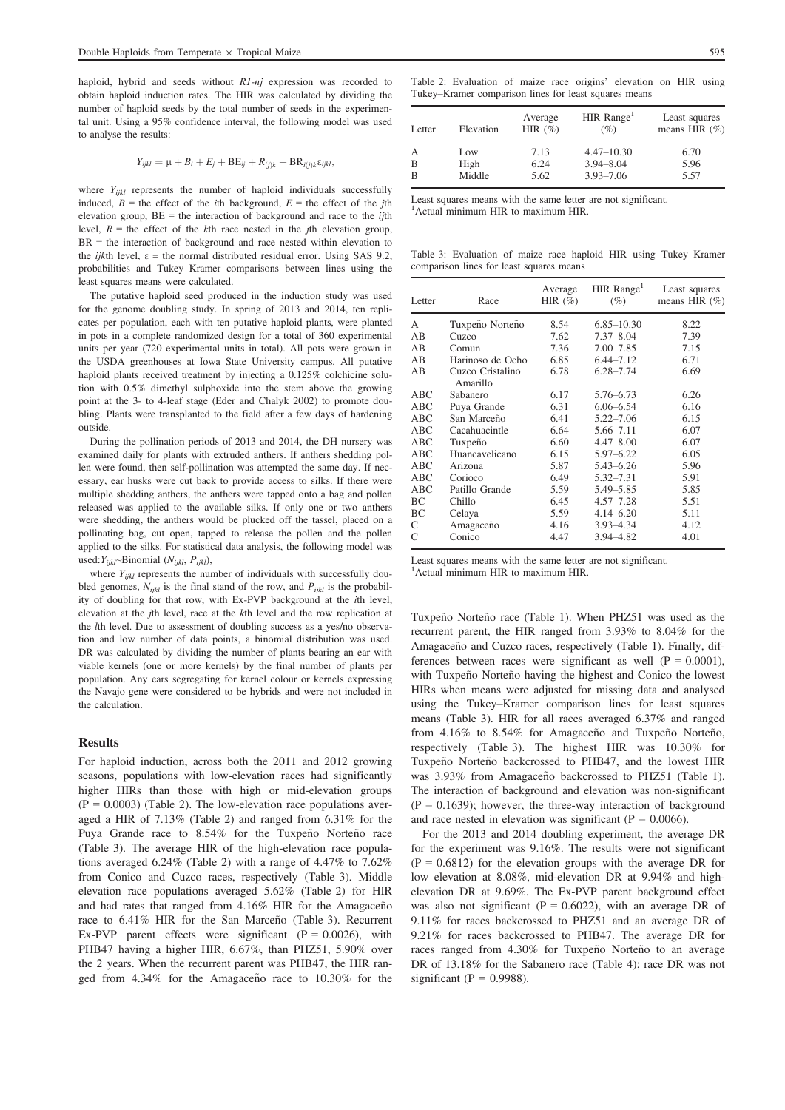haploid, hybrid and seeds without R1-nj expression was recorded to obtain haploid induction rates. The HIR was calculated by dividing the number of haploid seeds by the total number of seeds in the experimental unit. Using a 95% confidence interval, the following model was used to analyse the results:

$$
Y_{ijkl} = \mu + B_i + E_j + \text{BE}_{ij} + R_{(j)k} + \text{BR}_{i(j)k} \varepsilon_{ijkl},
$$

where  $Y_{ijkl}$  represents the number of haploid individuals successfully induced,  $B =$  the effect of the *i*th background,  $E =$  the effect of the *j*th elevation group,  $BE =$  the interaction of background and race to the *ij*th level,  $R =$  the effect of the kth race nested in the *j*th elevation group,  $BR =$  the interaction of background and race nested within elevation to the *ijkth* level,  $\varepsilon$  = the normal distributed residual error. Using SAS 9.2, probabilities and Tukey–Kramer comparisons between lines using the least squares means were calculated.

The putative haploid seed produced in the induction study was used for the genome doubling study. In spring of 2013 and 2014, ten replicates per population, each with ten putative haploid plants, were planted in pots in a complete randomized design for a total of 360 experimental units per year (720 experimental units in total). All pots were grown in the USDA greenhouses at Iowa State University campus. All putative haploid plants received treatment by injecting a 0.125% colchicine solution with 0.5% dimethyl sulphoxide into the stem above the growing point at the 3- to 4-leaf stage (Eder and Chalyk 2002) to promote doubling. Plants were transplanted to the field after a few days of hardening outside.

During the pollination periods of 2013 and 2014, the DH nursery was examined daily for plants with extruded anthers. If anthers shedding pollen were found, then self-pollination was attempted the same day. If necessary, ear husks were cut back to provide access to silks. If there were multiple shedding anthers, the anthers were tapped onto a bag and pollen released was applied to the available silks. If only one or two anthers were shedding, the anthers would be plucked off the tassel, placed on a pollinating bag, cut open, tapped to release the pollen and the pollen applied to the silks. For statistical data analysis, the following model was used:  $Y_{ijkl}$ ~Binomial ( $N_{ijkl}$ ,  $P_{ijkl}$ ),

where  $Y_{ijkl}$  represents the number of individuals with successfully doubled genomes,  $N_{iikl}$  is the final stand of the row, and  $P_{iikl}$  is the probability of doubling for that row, with Ex-PVP background at the ith level, elevation at the jth level, race at the kth level and the row replication at the lth level. Due to assessment of doubling success as a yes/no observation and low number of data points, a binomial distribution was used. DR was calculated by dividing the number of plants bearing an ear with viable kernels (one or more kernels) by the final number of plants per population. Any ears segregating for kernel colour or kernels expressing the Navajo gene were considered to be hybrids and were not included in the calculation.

## Results

For haploid induction, across both the 2011 and 2012 growing seasons, populations with low-elevation races had significantly higher HIRs than those with high or mid-elevation groups  $(P = 0.0003)$  (Table 2). The low-elevation race populations averaged a HIR of 7.13% (Table 2) and ranged from 6.31% for the Puya Grande race to 8.54% for the Tuxpeño Norteño race (Table 3). The average HIR of the high-elevation race populations averaged 6.24% (Table 2) with a range of 4.47% to 7.62% from Conico and Cuzco races, respectively (Table 3). Middle elevation race populations averaged 5.62% (Table 2) for HIR and had rates that ranged from  $4.16\%$  HIR for the Amagaceño race to 6.41% HIR for the San Marceño (Table 3). Recurrent Ex-PVP parent effects were significant  $(P = 0.0026)$ , with PHB47 having a higher HIR, 6.67%, than PHZ51, 5.90% over the 2 years. When the recurrent parent was PHB47, the HIR ranged from  $4.34\%$  for the Amagaceño race to  $10.30\%$  for the Table 2: Evaluation of maize race origins' elevation on HIR using Tukey–Kramer comparison lines for least squares means

| Letter | Elevation | Average<br>HIR $(\%)$ | HIR Range <sup>1</sup><br>(%) | Least squares<br>means HIR $(\% )$ |
|--------|-----------|-----------------------|-------------------------------|------------------------------------|
|        | Low       | 7.13                  | $4.47 - 10.30$                | 6.70                               |
| В      | High      | 6.24                  | $3.94 - 8.04$                 | 5.96                               |
| В      | Middle    | 5.62                  | $3.93 - 7.06$                 | 5.57                               |

|                                                                                                                                                                                                                                                                                                                     |  |  |  | Least squares means with the same letter are not significant. |  |
|---------------------------------------------------------------------------------------------------------------------------------------------------------------------------------------------------------------------------------------------------------------------------------------------------------------------|--|--|--|---------------------------------------------------------------|--|
| $\frac{1}{2}$ $\frac{1}{2}$ $\frac{1}{2}$ $\frac{1}{2}$ $\frac{1}{2}$ $\frac{1}{2}$ $\frac{1}{2}$ $\frac{1}{2}$ $\frac{1}{2}$ $\frac{1}{2}$ $\frac{1}{2}$ $\frac{1}{2}$ $\frac{1}{2}$ $\frac{1}{2}$ $\frac{1}{2}$ $\frac{1}{2}$ $\frac{1}{2}$ $\frac{1}{2}$ $\frac{1}{2}$ $\frac{1}{2}$ $\frac{1}{2}$ $\frac{1}{2}$ |  |  |  |                                                               |  |

<sup>1</sup>Actual minimum HIR to maximum HIR.

Table 3: Evaluation of maize race haploid HIR using Tukey–Kramer comparison lines for least squares means

| Letter | Race                         | Average<br>HIR $(\% )$ | $HIR$ Range <sup>1</sup><br>$(\%)$ | Least squares<br>means HIR $(\% )$ |
|--------|------------------------------|------------------------|------------------------------------|------------------------------------|
| А      | Tuxpeño Norteño              | 8.54                   | $6.85 - 10.30$                     | 8.22                               |
| AВ     | Cuzco                        | 7.62                   | $7.37 - 8.04$                      | 7.39                               |
| AВ     | Comun                        | 7.36                   | $7.00 - 7.85$                      | 7.15                               |
| AB     | Harinoso de Ocho             | 6.85                   | $6,44 - 7,12$                      | 6.71                               |
| AB     | Cuzco Cristalino<br>Amarillo | 6.78                   | $6.28 - 7.74$                      | 6.69                               |
| ABC    | Sabanero                     | 6.17                   | 5.76-6.73                          | 6.26                               |
| ABC    | Puya Grande                  | 6.31                   | $6.06 - 6.54$                      | 6.16                               |
| ABC    | San Marceño                  | 6.41                   | $5.22 - 7.06$                      | 6.15                               |
| ABC    | Cacahuacintle                | 6.64                   | 5.66-7.11                          | 6.07                               |
| ABC    | Tuxpeño                      | 6.60                   | $4.47 - 8.00$                      | 6.07                               |
| ABC    | Huancavelicano               | 6.15                   | $5.97 - 6.22$                      | 6.05                               |
| ABC    | Arizona                      | 5.87                   | $5.43 - 6.26$                      | 5.96                               |
| ABC    | Corioco                      | 6.49                   | 5.32-7.31                          | 5.91                               |
| ABC    | Patillo Grande               | 5.59                   | 5.49 - 5.85                        | 5.85                               |
| BC     | Chillo                       | 6.45                   | $4.57 - 7.28$                      | 5.51                               |
| BC     | Celaya                       | 5.59                   | $4.14 - 6.20$                      | 5.11                               |
| C      | Amagaceño                    | 4.16                   | $3.93 - 4.34$                      | 4.12                               |
| C      | Conico                       | 4.47                   | 3.94 - 4.82                        | 4.01                               |

Least squares means with the same letter are not significant.

<sup>1</sup>Actual minimum HIR to maximum HIR.

Tuxpeño Norteño race (Table 1). When PHZ51 was used as the recurrent parent, the HIR ranged from 3.93% to 8.04% for the Amagaceño and Cuzco races, respectively (Table 1). Finally, differences between races were significant as well  $(P = 0.0001)$ , with Tuxpeño Norteño having the highest and Conico the lowest HIRs when means were adjusted for missing data and analysed using the Tukey–Kramer comparison lines for least squares means (Table 3). HIR for all races averaged 6.37% and ranged from  $4.16\%$  to  $8.54\%$  for Amagaceño and Tuxpeño Norteño, respectively (Table 3). The highest HIR was 10.30% for Tuxpeño Norteño backcrossed to PHB47, and the lowest HIR was 3.93% from Amagaceño backcrossed to PHZ51 (Table 1). The interaction of background and elevation was non-significant  $(P = 0.1639)$ ; however, the three-way interaction of background and race nested in elevation was significant ( $P = 0.0066$ ).

For the 2013 and 2014 doubling experiment, the average DR for the experiment was 9.16%. The results were not significant  $(P = 0.6812)$  for the elevation groups with the average DR for low elevation at 8.08%, mid-elevation DR at 9.94% and highelevation DR at 9.69%. The Ex-PVP parent background effect was also not significant ( $P = 0.6022$ ), with an average DR of 9.11% for races backcrossed to PHZ51 and an average DR of 9.21% for races backcrossed to PHB47. The average DR for races ranged from 4.30% for Tuxpeño Norteño to an average DR of 13.18% for the Sabanero race (Table 4); race DR was not significant ( $P = 0.9988$ ).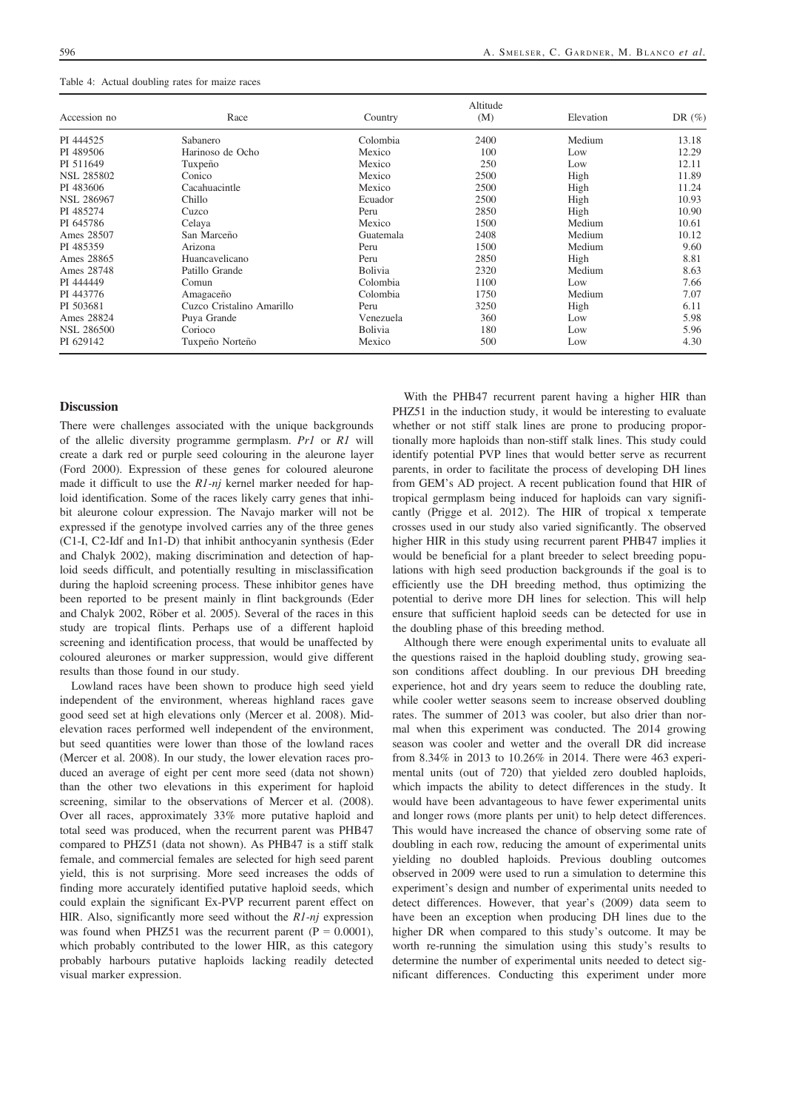| Table 4: Actual doubling rates for maize races |  |
|------------------------------------------------|--|
|------------------------------------------------|--|

| Accession no      | Race                      | Country        | Altitude<br>(M) | Elevation | DR $(\%)$ |
|-------------------|---------------------------|----------------|-----------------|-----------|-----------|
| PI 444525         | Sabanero                  | Colombia       | 2400            | Medium    | 13.18     |
| PI 489506         | Harinoso de Ocho          | Mexico         | 100             | Low       | 12.29     |
| PI 511649         | Tuxpeño                   | Mexico         | 250             | Low       | 12.11     |
| <b>NSL 285802</b> | Conico                    | Mexico         | 2500            | High      | 11.89     |
| PI 483606         | Cacahuacintle             | Mexico         | 2500            | High      | 11.24     |
| <b>NSL 286967</b> | Chillo                    | Ecuador        | 2500            | High      | 10.93     |
| PI 485274         | Cuzco                     | Peru           | 2850            | High      | 10.90     |
| PI 645786         | Celaya                    | Mexico         | 1500            | Medium    | 10.61     |
| Ames 28507        | San Marceño               | Guatemala      | 2408            | Medium    | 10.12     |
| PI 485359         | Arizona                   | Peru           | 1500            | Medium    | 9.60      |
| Ames 28865        | Huancavelicano            | Peru           | 2850            | High      | 8.81      |
| Ames 28748        | Patillo Grande            | <b>Bolivia</b> | 2320            | Medium    | 8.63      |
| PI 444449         | Comun                     | Colombia       | 1100            | Low       | 7.66      |
| PI 443776         | Amagaceno                 | Colombia       | 1750            | Medium    | 7.07      |
| PI 503681         | Cuzco Cristalino Amarillo | Peru           | 3250            | High      | 6.11      |
| Ames 28824        | Puya Grande               | Venezuela      | 360             | Low       | 5.98      |
| <b>NSL 286500</b> | Corioco                   | <b>Bolivia</b> | 180             | Low       | 5.96      |
| PI 629142         | Tuxpeño Norteño           | Mexico         | 500             | Low       | 4.30      |

### **Discussion**

There were challenges associated with the unique backgrounds of the allelic diversity programme germplasm. Pr1 or R1 will create a dark red or purple seed colouring in the aleurone layer (Ford 2000). Expression of these genes for coloured aleurone made it difficult to use the  $R1-nj$  kernel marker needed for haploid identification. Some of the races likely carry genes that inhibit aleurone colour expression. The Navajo marker will not be expressed if the genotype involved carries any of the three genes (C1-I, C2-Idf and In1-D) that inhibit anthocyanin synthesis (Eder and Chalyk 2002), making discrimination and detection of haploid seeds difficult, and potentially resulting in misclassification during the haploid screening process. These inhibitor genes have been reported to be present mainly in flint backgrounds (Eder and Chalyk 2002, Röber et al. 2005). Several of the races in this study are tropical flints. Perhaps use of a different haploid screening and identification process, that would be unaffected by coloured aleurones or marker suppression, would give different results than those found in our study.

Lowland races have been shown to produce high seed yield independent of the environment, whereas highland races gave good seed set at high elevations only (Mercer et al. 2008). Midelevation races performed well independent of the environment, but seed quantities were lower than those of the lowland races (Mercer et al. 2008). In our study, the lower elevation races produced an average of eight per cent more seed (data not shown) than the other two elevations in this experiment for haploid screening, similar to the observations of Mercer et al. (2008). Over all races, approximately 33% more putative haploid and total seed was produced, when the recurrent parent was PHB47 compared to PHZ51 (data not shown). As PHB47 is a stiff stalk female, and commercial females are selected for high seed parent yield, this is not surprising. More seed increases the odds of finding more accurately identified putative haploid seeds, which could explain the significant Ex-PVP recurrent parent effect on HIR. Also, significantly more seed without the  $R1-nj$  expression was found when PHZ51 was the recurrent parent  $(P = 0.0001)$ , which probably contributed to the lower HIR, as this category probably harbours putative haploids lacking readily detected visual marker expression.

With the PHB47 recurrent parent having a higher HIR than PHZ51 in the induction study, it would be interesting to evaluate whether or not stiff stalk lines are prone to producing proportionally more haploids than non-stiff stalk lines. This study could identify potential PVP lines that would better serve as recurrent parents, in order to facilitate the process of developing DH lines from GEM's AD project. A recent publication found that HIR of tropical germplasm being induced for haploids can vary significantly (Prigge et al. 2012). The HIR of tropical x temperate crosses used in our study also varied significantly. The observed higher HIR in this study using recurrent parent PHB47 implies it would be beneficial for a plant breeder to select breeding populations with high seed production backgrounds if the goal is to efficiently use the DH breeding method, thus optimizing the potential to derive more DH lines for selection. This will help ensure that sufficient haploid seeds can be detected for use in the doubling phase of this breeding method.

Although there were enough experimental units to evaluate all the questions raised in the haploid doubling study, growing season conditions affect doubling. In our previous DH breeding experience, hot and dry years seem to reduce the doubling rate, while cooler wetter seasons seem to increase observed doubling rates. The summer of 2013 was cooler, but also drier than normal when this experiment was conducted. The 2014 growing season was cooler and wetter and the overall DR did increase from 8.34% in 2013 to 10.26% in 2014. There were 463 experimental units (out of 720) that yielded zero doubled haploids, which impacts the ability to detect differences in the study. It would have been advantageous to have fewer experimental units and longer rows (more plants per unit) to help detect differences. This would have increased the chance of observing some rate of doubling in each row, reducing the amount of experimental units yielding no doubled haploids. Previous doubling outcomes observed in 2009 were used to run a simulation to determine this experiment's design and number of experimental units needed to detect differences. However, that year's (2009) data seem to have been an exception when producing DH lines due to the higher DR when compared to this study's outcome. It may be worth re-running the simulation using this study's results to determine the number of experimental units needed to detect significant differences. Conducting this experiment under more